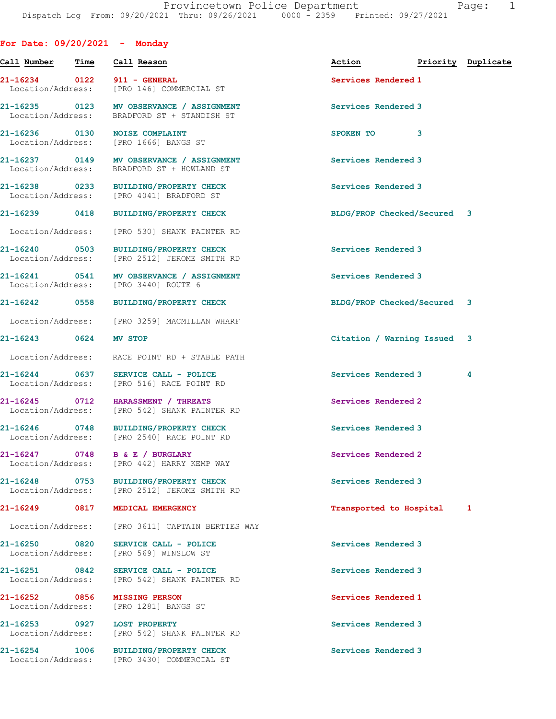For Date: 09/20/2021 - Monday

|                                    | Call Number - Time | Call Reason                                                                             | Action                      |   | Priority Duplicate |
|------------------------------------|--------------------|-----------------------------------------------------------------------------------------|-----------------------------|---|--------------------|
|                                    |                    | 21-16234 0122 911 - GENERAL<br>Location/Address: [PRO 146] COMMERCIAL ST                | Services Rendered 1         |   |                    |
|                                    |                    | 21-16235 0123 MV OBSERVANCE / ASSIGNMENT<br>Location/Address: BRADFORD ST + STANDISH ST | Services Rendered 3         |   |                    |
|                                    |                    | 21-16236 0130 NOISE COMPLAINT<br>Location/Address: [PRO 1666] BANGS ST                  | SPOKEN TO                   | 3 |                    |
|                                    |                    | 21-16237 0149 MV OBSERVANCE / ASSIGNMENT<br>Location/Address: BRADFORD ST + HOWLAND ST  | Services Rendered 3         |   |                    |
|                                    |                    | 21-16238 0233 BUILDING/PROPERTY CHECK<br>Location/Address: [PRO 4041] BRADFORD ST       | Services Rendered 3         |   |                    |
|                                    |                    | 21-16239 0418 BUILDING/PROPERTY CHECK                                                   | BLDG/PROP Checked/Secured 3 |   |                    |
|                                    |                    | Location/Address: [PRO 530] SHANK PAINTER RD                                            |                             |   |                    |
|                                    |                    | 21-16240 0503 BUILDING/PROPERTY CHECK<br>Location/Address: [PRO 2512] JEROME SMITH RD   | Services Rendered 3         |   |                    |
|                                    |                    | 21-16241 0541 MV OBSERVANCE / ASSIGNMENT<br>Location/Address: [PRO 3440] ROUTE 6        | Services Rendered 3         |   |                    |
| 21-16242 0558                      |                    | BUILDING/PROPERTY CHECK                                                                 | BLDG/PROP Checked/Secured 3 |   |                    |
|                                    |                    | Location/Address: [PRO 3259] MACMILLAN WHARF                                            |                             |   |                    |
| 21-16243 0624                      |                    | MV STOP                                                                                 | Citation / Warning Issued 3 |   |                    |
|                                    |                    | Location/Address: RACE POINT RD + STABLE PATH                                           |                             |   |                    |
|                                    |                    | 21-16244 0637 SERVICE CALL - POLICE<br>Location/Address: [PRO 516] RACE POINT RD        | Services Rendered 3         |   | 4                  |
|                                    |                    | 21-16245 0712 HARASSMENT / THREATS<br>Location/Address: [PRO 542] SHANK PAINTER RD      | Services Rendered 2         |   |                    |
|                                    |                    | 21-16246 0748 BUILDING/PROPERTY CHECK<br>Location/Address: [PRO 2540] RACE POINT RD     | Services Rendered 3         |   |                    |
| 21-16247 0748<br>Location/Address: |                    | B & E / BURGLARY<br>[PRO 442] HARRY KEMP WAY                                            | Services Rendered 2         |   |                    |
|                                    |                    | 21-16248 0753 BUILDING/PROPERTY CHECK<br>Location/Address: [PRO 2512] JEROME SMITH RD   | Services Rendered 3         |   |                    |
| 21-16249 0817                      |                    | MEDICAL EMERGENCY                                                                       | Transported to Hospital     |   | 1                  |
| Location/Address:                  |                    | [PRO 3611] CAPTAIN BERTIES WAY                                                          |                             |   |                    |
| 21-16250 0820<br>Location/Address: |                    | SERVICE CALL - POLICE<br>[PRO 569] WINSLOW ST                                           | Services Rendered 3         |   |                    |
| Location/Address:                  |                    | 21-16251 0842 SERVICE CALL - POLICE<br>[PRO 542] SHANK PAINTER RD                       | Services Rendered 3         |   |                    |
| 21-16252 0856<br>Location/Address: |                    | <b>MISSING PERSON</b><br>[PRO 1281] BANGS ST                                            | Services Rendered 1         |   |                    |
|                                    |                    | 21-16253 0927 LOST PROPERTY<br>Location/Address: [PRO 542] SHANK PAINTER RD             | Services Rendered 3         |   |                    |
| 21-16254 1006                      |                    | <b>BUILDING/PROPERTY CHECK</b><br>Location/Address: [PRO 3430] COMMERCIAL ST            | Services Rendered 3         |   |                    |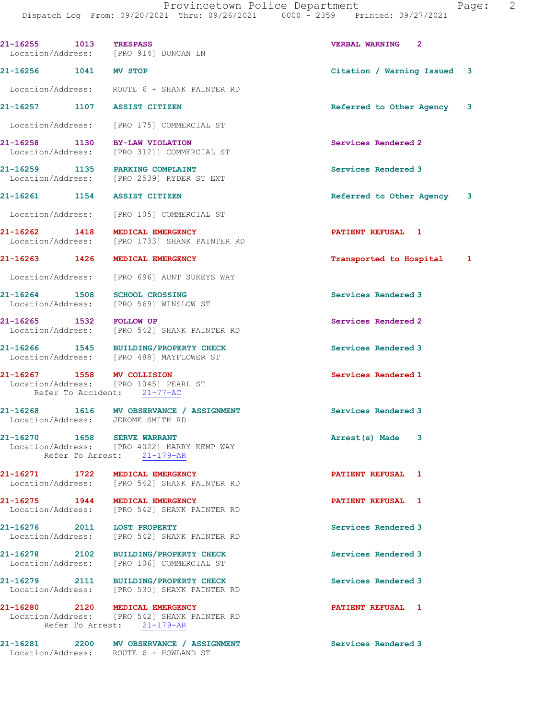Dispatch Log From: 09/20/2021 Thru: 09/26/2021 0000 - 2359 Printed: 09/27/2021 21-16255 1013 TRESPASS VERBAL WARNING 2 Location/Address: [PRO 914] DUNCAN LN 21-16256 1041 MV STOP Citation / Warning Issued 3 Location/Address: ROUTE 6 + SHANK PAINTER RD 21-16257 1107 ASSIST CITIZEN Referred to Other Agency 3 Location/Address: [PRO 175] COMMERCIAL ST 21-16258 1130 BY-LAW VIOLATION Services Rendered 2<br>
Location/Address: [PRO 3121] COMMERCIAL ST [PRO 3121] COMMERCIAL ST 21-16259 1135 PARKING COMPLAINT Services Rendered 3 Location/Address: [PRO 2539] RYDER ST EXT 21-16261 1154 ASSIST CITIZEN **Referred** to Other Agency 3 Location/Address: [PRO 105] COMMERCIAL ST 21-16262 1418 MEDICAL EMERGENCY **PATIENT REFUSAL** 1 Location/Address: [PRO 1733] SHANK PAINTER RD 21-16263 1426 MEDICAL EMERGENCY Transported to Hospital 1 Location/Address: [PRO 696] AUNT SUKEYS WAY 21-16264 1508 SCHOOL CROSSING SERVICES Rendered 3 Location/Address: [PRO 569] WINSLOW ST 21-16265 1532 FOLLOW UP Services Rendered 2 Location/Address: [PRO 542] SHANK PAINTER RD 21-16266 1545 BUILDING/PROPERTY CHECK Services Rendered 3 Location/Address: [PRO 488] MAYFLOWER ST 21-16267 1558 MV COLLISION 1999 Services Rendered 1 Section Address: [PRO 1045] PEARL ST [PRO 1045] PEARL ST Refer To Accident: 21-77-AC 21-16268 1616 MV OBSERVANCE / ASSIGNMENT Services Rendered 3 Location/Address: JEROME SMITH RD 21-16270 1658 SERVE WARRANT **Arrest(s)** Made 3 Location/Address: [PRO 4022] HARRY KEMP WAY Refer To Arrest: 21-179-AR 21-16271 1722 MEDICAL EMERGENCY **122** 1728 12 PATIENT REFUSAL 1 Location/Address: [PRO 542] SHANK PAINTER RD 21-16275 1944 MEDICAL EMERGENCY **1948** PATIENT REFUSAL 1 Location/Address: [PRO 542] SHANK PAINTER RD 21-16276 2011 LOST PROPERTY Services Rendered 3<br>
Location/Address: [PRO 542] SHANK PAINTER RD [PRO 542] SHANK PAINTER RD 21-16278 2102 BUILDING/PROPERTY CHECK Services Rendered 3 Location/Address: [PRO 106] COMMERCIAL ST 21-16279 2111 BUILDING/PROPERTY CHECK Services Rendered 3 Location/Address: [PRO 530] SHANK PAINTER RD 21-16280 2120 MEDICAL EMERGENCY PATIENT REFUSAL 1 Location/Address: [PRO 542] SHANK PAINTER RD Refer To Arrest: 21-179-AR

Location/Address: ROUTE 6 + HOWLAND ST

21-16281 2200 MV OBSERVANCE / ASSIGNMENT Services Rendered 3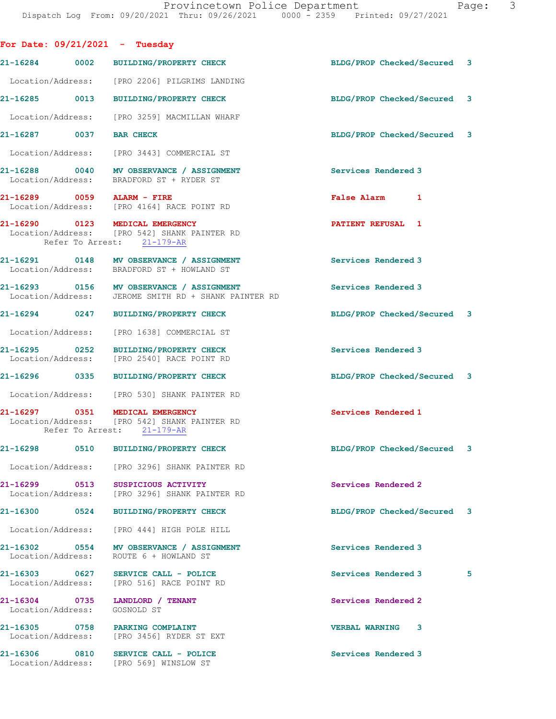|                              | For Date: $09/21/2021$ - Tuesday                                                                              |                             |   |
|------------------------------|---------------------------------------------------------------------------------------------------------------|-----------------------------|---|
|                              | 21-16284 0002 BUILDING/PROPERTY CHECK                                                                         | BLDG/PROP Checked/Secured 3 |   |
|                              | Location/Address: [PRO 2206] PILGRIMS LANDING                                                                 |                             |   |
|                              | 21-16285 0013 BUILDING/PROPERTY CHECK                                                                         | BLDG/PROP Checked/Secured 3 |   |
|                              | Location/Address: [PRO 3259] MACMILLAN WHARF                                                                  |                             |   |
| 21-16287 0037 BAR CHECK      |                                                                                                               | BLDG/PROP Checked/Secured 3 |   |
|                              | Location/Address: [PRO 3443] COMMERCIAL ST                                                                    |                             |   |
|                              | 21-16288 0040 MV OBSERVANCE / ASSIGNMENT<br>Location/Address: BRADFORD ST + RYDER ST                          | Services Rendered 3         |   |
|                              | 21-16289 0059 ALARM - FIRE<br>Location/Address: [PRO 4164] RACE POINT RD                                      | False Alarm 1               |   |
|                              | 21-16290 0123 MEDICAL EMERGENCY<br>Location/Address: [PRO 542] SHANK PAINTER RD<br>Refer To Arrest: 21-179-AR | <b>PATIENT REFUSAL 1</b>    |   |
|                              | 21-16291 0148 MV OBSERVANCE / ASSIGNMENT<br>Location/Address: BRADFORD ST + HOWLAND ST                        | Services Rendered 3         |   |
|                              | 21-16293 0156 MV OBSERVANCE / ASSIGNMENT<br>Location/Address: JEROME SMITH RD + SHANK PAINTER RD              | Services Rendered 3         |   |
|                              | 21-16294 0247 BUILDING/PROPERTY CHECK                                                                         | BLDG/PROP Checked/Secured 3 |   |
|                              | Location/Address: [PRO 1638] COMMERCIAL ST                                                                    |                             |   |
|                              | 21-16295 0252 BUILDING/PROPERTY CHECK<br>Location/Address: [PRO 2540] RACE POINT RD                           | Services Rendered 3         |   |
|                              | 21-16296 0335 BUILDING/PROPERTY CHECK                                                                         | BLDG/PROP Checked/Secured 3 |   |
|                              | Location/Address: [PRO 530] SHANK PAINTER RD                                                                  |                             |   |
|                              | 21-16297 0351 MEDICAL EMERGENCY<br>Location/Address: [PRO 542] SHANK PAINTER RD<br>Refer To Arrest: 21-179-AR | Services Rendered 1         |   |
|                              | 21-16298 0510 BUILDING/PROPERTY CHECK                                                                         | BLDG/PROP Checked/Secured 3 |   |
|                              | Location/Address: [PRO 3296] SHANK PAINTER RD                                                                 |                             |   |
|                              | 21-16299 0513 SUSPICIOUS ACTIVITY<br>Location/Address: [PRO 3296] SHANK PAINTER RD                            | Services Rendered 2         |   |
| 21-16300 0524                | <b>BUILDING/PROPERTY CHECK</b>                                                                                | BLDG/PROP Checked/Secured 3 |   |
|                              | Location/Address: [PRO 444] HIGH POLE HILL                                                                    |                             |   |
|                              | 21-16302 0554 MV OBSERVANCE / ASSIGNMENT<br>Location/Address: ROUTE 6 + HOWLAND ST                            | Services Rendered 3         |   |
|                              | Location/Address: [PRO 516] RACE POINT RD                                                                     | Services Rendered 3         | 5 |
| Location/Address: GOSNOLD ST | 21-16304 0735 LANDLORD / TENANT                                                                               | Services Rendered 2         |   |
|                              | 21-16305 0758 PARKING COMPLAINT<br>Location/Address: [PRO 3456] RYDER ST EXT                                  | <b>VERBAL WARNING</b><br>3  |   |
|                              | 21-16306 0810 SERVICE CALL - POLICE<br>Location/Address: [PRO 569] WINSLOW ST                                 | Services Rendered 3         |   |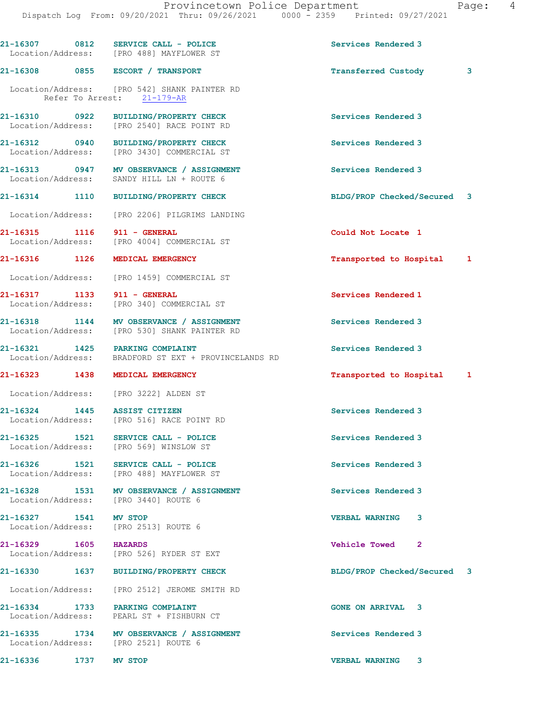|                             | 21-16307 0812 SERVICE CALL - POLICE<br>Location/Address: [PRO 488] MAYFLOWER ST          | Services Rendered 3         |   |
|-----------------------------|------------------------------------------------------------------------------------------|-----------------------------|---|
|                             | 21-16308 0855 ESCORT / TRANSPORT                                                         | Transferred Custody         | 3 |
|                             | Location/Address: [PRO 542] SHANK PAINTER RD<br>Refer To Arrest: 21-179-AR               |                             |   |
|                             | 21-16310 0922 BUILDING/PROPERTY CHECK<br>Location/Address: [PRO 2540] RACE POINT RD      | Services Rendered 3         |   |
|                             | 21-16312 0940 BUILDING/PROPERTY CHECK<br>Location/Address: [PRO 3430] COMMERCIAL ST      | Services Rendered 3         |   |
|                             | 21-16313 0947 MV OBSERVANCE / ASSIGNMENT<br>Location/Address: SANDY HILL LN + ROUTE 6    | Services Rendered 3         |   |
|                             | 21-16314 1110 BUILDING/PROPERTY CHECK                                                    | BLDG/PROP Checked/Secured 3 |   |
|                             | Location/Address: [PRO 2206] PILGRIMS LANDING                                            |                             |   |
| 21-16315 1116 911 - GENERAL | Location/Address: [PRO 4004] COMMERCIAL ST                                               | Could Not Locate 1          |   |
|                             | 21-16316 1126 MEDICAL EMERGENCY                                                          | Transported to Hospital 1   |   |
|                             | Location/Address: [PRO 1459] COMMERCIAL ST                                               |                             |   |
| 21-16317 1133 911 - GENERAL | Location/Address: [PRO 340] COMMERCIAL ST                                                | Services Rendered 1         |   |
|                             | 21-16318 1144 MV OBSERVANCE / ASSIGNMENT<br>Location/Address: [PRO 530] SHANK PAINTER RD | Services Rendered 3         |   |
|                             | 21-16321 1425 PARKING COMPLAINT<br>Location/Address: BRADFORD ST EXT + PROVINCELANDS RD  | Services Rendered 3         |   |
|                             | 21-16323 1438 MEDICAL EMERGENCY                                                          | Transported to Hospital 1   |   |
|                             | Location/Address: [PRO 3222] ALDEN ST                                                    |                             |   |
|                             | 21-16324 1445 ASSIST CITIZEN<br>Location/Address: [PRO 516] RACE POINT RD                | Services Rendered 3         |   |
|                             | 21-16325 1521 SERVICE CALL - POLICE<br>Location/Address: [PRO 569] WINSLOW ST            | Services Rendered 3         |   |
|                             | 21-16326 1521 SERVICE CALL - POLICE<br>Location/Address: [PRO 488] MAYFLOWER ST          | Services Rendered 3         |   |
|                             | 21-16328 1531 MV OBSERVANCE / ASSIGNMENT<br>Location/Address: [PRO 3440] ROUTE 6         | Services Rendered 3         |   |
| 21-16327 1541 MV STOP       | Location/Address: [PRO 2513] ROUTE 6                                                     | <b>VERBAL WARNING</b><br>3  |   |
| 21-16329 1605 HAZARDS       | Location/Address: [PRO 526] RYDER ST EXT                                                 | Vehicle Towed 2             |   |
|                             | 21-16330 1637 BUILDING/PROPERTY CHECK                                                    | BLDG/PROP Checked/Secured 3 |   |
|                             | Location/Address: [PRO 2512] JEROME SMITH RD                                             |                             |   |
|                             | 21-16334 1733 PARKING COMPLAINT<br>Location/Address: PEARL ST + FISHBURN CT              | <b>GONE ON ARRIVAL 3</b>    |   |
|                             | 21-16335 1734 MV OBSERVANCE / ASSIGNMENT<br>Location/Address: [PRO 2521] ROUTE 6         | Services Rendered 3         |   |
| 21-16336 1737 MV STOP       |                                                                                          | <b>VERBAL WARNING</b><br>3  |   |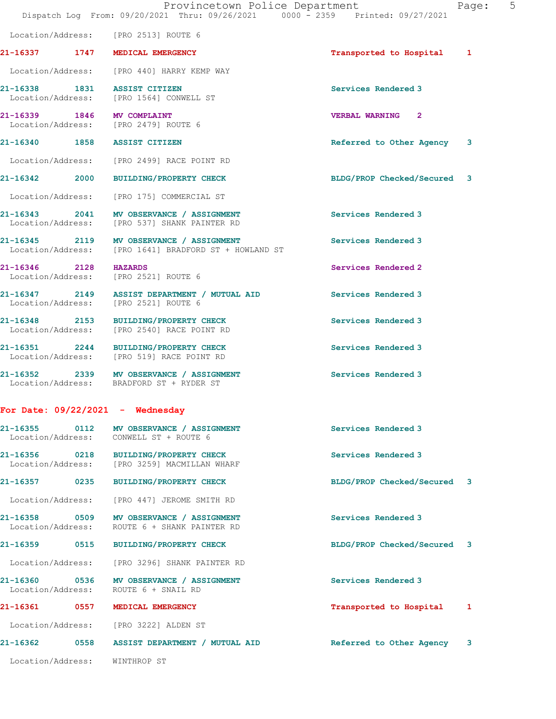|                                                                    | Dispatch Log From: 09/20/2021 Thru: 09/26/2021 0000 - 2359 Printed: 09/27/2021                    |                             |   |
|--------------------------------------------------------------------|---------------------------------------------------------------------------------------------------|-----------------------------|---|
| Location/Address: [PRO 2513] ROUTE 6                               |                                                                                                   |                             |   |
| 21-16337 1747 MEDICAL EMERGENCY                                    |                                                                                                   | Transported to Hospital 1   |   |
|                                                                    | Location/Address: [PRO 440] HARRY KEMP WAY                                                        |                             |   |
|                                                                    | 21-16338 1831 ASSIST CITIZEN<br>Location/Address: [PRO 1564] CONWELL ST                           | Services Rendered 3         |   |
| 21-16339 1846 MV COMPLAINT<br>Location/Address: [PRO 2479] ROUTE 6 |                                                                                                   | <b>VERBAL WARNING 2</b>     |   |
| 21-16340 1858 ASSIST CITIZEN                                       |                                                                                                   | Referred to Other Agency 3  |   |
|                                                                    | Location/Address: [PRO 2499] RACE POINT RD                                                        |                             |   |
|                                                                    | 21-16342 2000 BUILDING/PROPERTY CHECK                                                             | BLDG/PROP Checked/Secured 3 |   |
|                                                                    | Location/Address: [PRO 175] COMMERCIAL ST                                                         |                             |   |
|                                                                    | 21-16343 2041 MV OBSERVANCE / ASSIGNMENT<br>Location/Address: [PRO 537] SHANK PAINTER RD          | Services Rendered 3         |   |
|                                                                    | 21-16345 2119 MV OBSERVANCE / ASSIGNMENT<br>Location/Address: [PRO 1641] BRADFORD ST + HOWLAND ST | Services Rendered 3         |   |
| 21-16346 2128 HAZARDS<br>Location/Address: [PRO 2521] ROUTE 6      |                                                                                                   | Services Rendered 2         |   |
| Location/Address: [PRO 2521] ROUTE 6                               | 21-16347 2149 ASSIST DEPARTMENT / MUTUAL AID                                                      | Services Rendered 3         |   |
|                                                                    | 21-16348 2153 BUILDING/PROPERTY CHECK<br>Location/Address: [PRO 2540] RACE POINT RD               | Services Rendered 3         |   |
|                                                                    | 21-16351 2244 BUILDING/PROPERTY CHECK<br>Location/Address: [PRO 519] RACE POINT RD                | Services Rendered 3         |   |
|                                                                    | 21-16352 2339 MV OBSERVANCE / ASSIGNMENT<br>Location/Address: BRADFORD ST + RYDER ST              | Services Rendered 3         |   |
| For Date: $09/22/2021 -$ Wednesday                                 |                                                                                                   |                             |   |
| 21-16355 0112<br>Location/Address: CONWELL ST + ROUTE 6            | MV OBSERVANCE / ASSIGNMENT                                                                        | Services Rendered 3         |   |
|                                                                    | 21-16356 0218 BUILDING/PROPERTY CHECK<br>Location/Address: [PRO 3259] MACMILLAN WHARF             | Services Rendered 3         |   |
| 21-16357 0235                                                      | <b>BUILDING/PROPERTY CHECK</b>                                                                    | BLDG/PROP Checked/Secured 3 |   |
| Location/Address:                                                  | [PRO 447] JEROME SMITH RD                                                                         |                             |   |
| 21-16358 0509<br>Location/Address:                                 | MV OBSERVANCE / ASSIGNMENT<br>ROUTE 6 + SHANK PAINTER RD                                          | Services Rendered 3         |   |
|                                                                    | 21-16359 0515 BUILDING/PROPERTY CHECK                                                             | BLDG/PROP Checked/Secured 3 |   |
|                                                                    | Location/Address: [PRO 3296] SHANK PAINTER RD                                                     |                             |   |
| Location/Address: ROUTE 6 + SNAIL RD                               | 21-16360 0536 MV OBSERVANCE / ASSIGNMENT                                                          | Services Rendered 3         |   |
| 21-16361<br>0557                                                   | MEDICAL EMERGENCY                                                                                 | Transported to Hospital     | 1 |
| Location/Address: [PRO 3222] ALDEN ST                              |                                                                                                   |                             |   |
|                                                                    |                                                                                                   | Referred to Other Agency 3  |   |
| Location/Address: WINTHROP ST                                      |                                                                                                   |                             |   |

Provincetown Police Department Fage: 5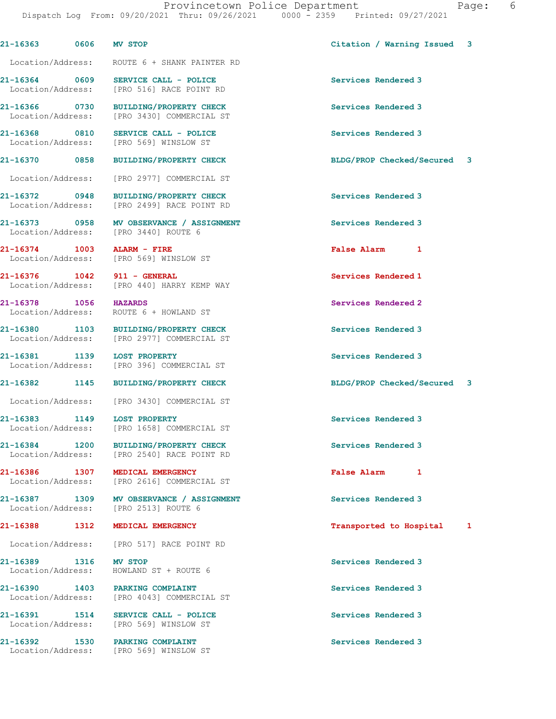| 21-16363 | 0606 MV STOP | Citation / Warning Issued 3 |  |
|----------|--------------|-----------------------------|--|
|          |              |                             |  |

Location/Address: ROUTE 6 + SHANK PAINTER RD

21-16364 0609 SERVICE CALL - POLICE Services Rendered 3

Location/Address:

21-16378 1056 HAZARDS Services Rendered 2

21-16389 1316 MV STOP Services Rendered 3

 Location/Address: [PRO 516] RACE POINT RD 21-16366 0730 BUILDING/PROPERTY CHECK Services Rendered 3 Location/Address: [PRO 3430] COMMERCIAL ST

21-16368 0810 SERVICE CALL - POLICE 21-16368 0810 Services Rendered 3<br>
Location/Address: [PRO 569] WINSLOW ST

Location/Address: [PRO 2977] COMMERCIAL ST

21-16372 0948 BUILDING/PROPERTY CHECK Services Rendered 3 Location/Address: [PRO 2499] RACE POINT RD

21-16373 0958 MV OBSERVANCE / ASSIGNMENT Services Rendered 3 Location/Address: [PRO 3440] ROUTE 6

21-16374 1003 ALARM - FIRE 1003 False Alarm 1<br>
Location/Address: [PRO 569] WINSLOW ST [PRO 569] WINSLOW ST

21-16376 1042 911 - GENERAL Services Rendered 1 Location/Address: [PRO 440] HARRY KEMP WAY

Location/Address: ROUTE 6 + HOWLAND ST

21-16380 1103 BUILDING/PROPERTY CHECK Services Rendered 3<br>
Location/Address: [PRO 2977] COMMERCIAL ST [PRO 2977] COMMERCIAL ST

21-16381 1139 LOST PROPERTY Services Rendered 3 Location/Address: [PRO 396] COMMERCIAL ST

Location/Address: [PRO 3430] COMMERCIAL ST

21-16383 1149 LOST PROPERTY Services Rendered 3 Location/Address: [PRO 1658] COMMERCIAL ST

21-16384 1200 BUILDING/PROPERTY CHECK Services Rendered 3 Location/Address: [PRO 2540] RACE POINT RD

21-16386 1307 MEDICAL EMERGENCY **1200 1200 False Alarm** 1 Location/Address: [PRO 2616] COMMERCIAL ST

21-16387 1309 MV OBSERVANCE / ASSIGNMENT Services Rendered 3 Location/Address: [PRO 2513] ROUTE 6

Location/Address: [PRO 517] RACE POINT RD

Location/Address: HOWLAND ST + ROUTE 6

21-16390 1403 PARKING COMPLAINT Services Rendered 3 Location/Address: [PRO 4043] COMMERCIAL ST

21-16391 1514 SERVICE CALL - POLICE 21-16391 Services Rendered 3 Location/Address: [PRO 569] WINSLOW ST

21-16392 1530 PARKING COMPLAINT Services Rendered 3 Location/Address: [PRO 569] WINSLOW ST

21-16370 0858 BUILDING/PROPERTY CHECK BLDG/PROP Checked/Secured 3

21-16382 1145 BUILDING/PROPERTY CHECK BLDG/PROP Checked/Secured 3

21-16388 1312 MEDICAL EMERGENCY Transported to Hospital 1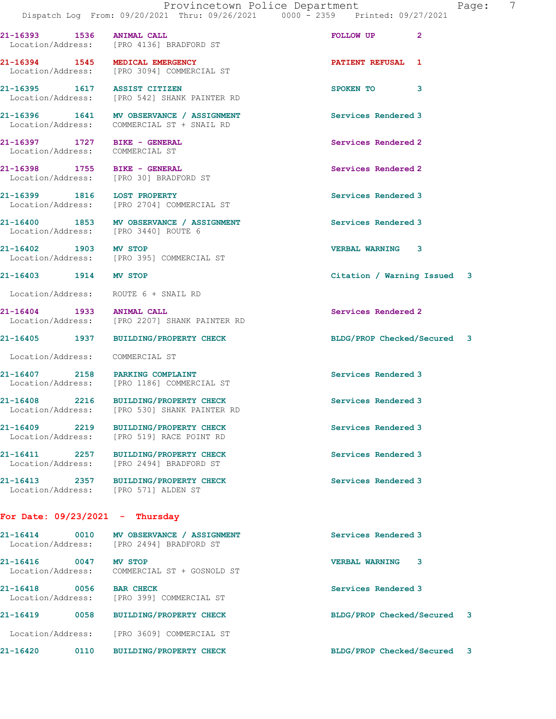| 21-16393 1536 ANIMAL CALL                                              | Location/Address: [PRO 4136] BRADFORD ST                                               | $\mathbf{2}$<br>FOLLOW UP   |  |
|------------------------------------------------------------------------|----------------------------------------------------------------------------------------|-----------------------------|--|
| 21-16394 1545 MEDICAL EMERGENCY                                        | Location/Address: [PRO 3094] COMMERCIAL ST                                             | PATIENT REFUSAL 1           |  |
| 21-16395 1617 ASSIST CITIZEN                                           | Location/Address: [PRO 542] SHANK PAINTER RD                                           | 3<br>SPOKEN TO              |  |
|                                                                        | 21-16396 1641 MV OBSERVANCE / ASSIGNMENT<br>Location/Address: COMMERCIAL ST + SNAIL RD | Services Rendered 3         |  |
| 21-16397 1727 BIKE - GENERAL<br>Location/Address: COMMERCIAL ST        |                                                                                        | Services Rendered 2         |  |
| 21-16398 1755 BIKE - GENERAL<br>Location/Address: [PRO 30] BRADFORD ST |                                                                                        | Services Rendered 2         |  |
| 21-16399 1816 LOST PROPERTY                                            | Location/Address: [PRO 2704] COMMERCIAL ST                                             | Services Rendered 3         |  |
| Location/Address: [PRO 3440] ROUTE 6                                   | 21-16400 1853 MV OBSERVANCE / ASSIGNMENT                                               | Services Rendered 3         |  |
|                                                                        | 21-16402 1903 MV STOP<br>Location/Address: [PRO 395] COMMERCIAL ST                     | VERBAL WARNING 3            |  |
| 21-16403 1914 MV STOP                                                  |                                                                                        | Citation / Warning Issued 3 |  |
| Location/Address: ROUTE 6 + SNAIL RD                                   |                                                                                        |                             |  |
| 21-16404 1933 ANIMAL CALL                                              | Location/Address: [PRO 2207] SHANK PAINTER RD                                          | Services Rendered 2         |  |
|                                                                        | 21-16405 1937 BUILDING/PROPERTY CHECK                                                  | BLDG/PROP Checked/Secured 3 |  |
| Location/Address: COMMERCIAL ST                                        |                                                                                        |                             |  |
|                                                                        | 21-16407 2158 PARKING COMPLAINT<br>Location/Address: [PRO 1186] COMMERCIAL ST          | Services Rendered 3         |  |
|                                                                        | 21-16408 2216 BUILDING/PROPERTY CHECK<br>Location/Address: [PRO 530] SHANK PAINTER RD  | Services Rendered 3         |  |
| 21-16409 2219                                                          | <b>BUILDING/PROPERTY CHECK</b><br>Location/Address: [PRO 519] RACE POINT RD            | Services Rendered 3         |  |
|                                                                        | 21-16411 2257 BUILDING/PROPERTY CHECK<br>Location/Address: [PRO 2494] BRADFORD ST      | Services Rendered 3         |  |
| Location/Address: [PRO 571] ALDEN ST                                   | 21-16413 2357 BUILDING/PROPERTY CHECK                                                  | Services Rendered 3         |  |
| For Date: $09/23/2021 -$ Thursday                                      |                                                                                        |                             |  |
|                                                                        | 21-16414 0010 MV OBSERVANCE / ASSIGNMENT<br>Location/Address: [PRO 2494] BRADFORD ST   | Services Rendered 3         |  |
| 21-16416 0047 MV STOP                                                  | Location/Address: COMMERCIAL ST + GOSNOLD ST                                           | <b>VERBAL WARNING</b><br>3  |  |
| 21-16418 0056 BAR CHECK                                                | Location/Address: [PRO 399] COMMERCIAL ST                                              | Services Rendered 3         |  |
|                                                                        |                                                                                        |                             |  |

Location/Address: [PRO 3609] COMMERCIAL ST

21-16419 0058 BUILDING/PROPERTY CHECK BLDG/PROP Checked/Secured 3

21-16420 0110 BUILDING/PROPERTY CHECK BLDG/PROP Checked/Secured 3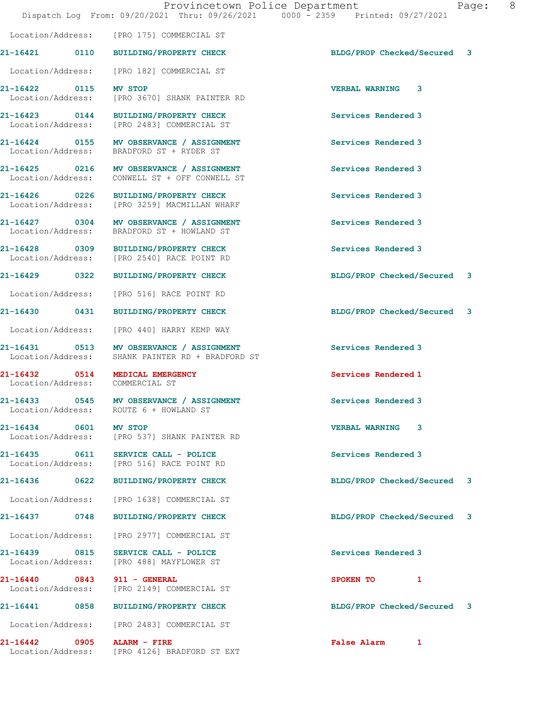Location/Address: [PRO 175] COMMERCIAL ST

Location/Address: [PRO 182] COMMERCIAL ST

21-16422 0115 MV STOP VERBAL WARNING 3 Location/Address: [PRO 3670] SHANK PAINTER RD

21-16423 0144 BUILDING/PROPERTY CHECK Services Rendered 3<br>
Location/Address: [PRO 2483] COMMERCIAL ST [PRO 2483] COMMERCIAL ST

21-16424 0155 MV OBSERVANCE / ASSIGNMENT Services Rendered 3 Location/Address: BRADFORD ST + RYDER ST

21-16425 0216 MV OBSERVANCE / ASSIGNMENT Services Rendered 3 Location/Address: CONWELL ST + OFF CONWELL ST

21-16426 0226 BUILDING/PROPERTY CHECK Services Rendered 3 [PRO 3259] MACMILLAN WHARF

21-16427 0304 MV OBSERVANCE / ASSIGNMENT Services Rendered 3 Location/Address: BRADFORD ST + HOWLAND ST

21-16428 0309 BUILDING/PROPERTY CHECK Services Rendered 3 Location/Address: [PRO 2540] RACE POINT RD

Location/Address: [PRO 516] RACE POINT RD

Location/Address: [PRO 440] HARRY KEMP WAY

21-16431 0513 MV OBSERVANCE / ASSIGNMENT Services Rendered 3 Location/Address: SHANK PAINTER RD + BRADFORD ST

Location/Address: COMMERCIAL ST

21-16433 0545 MV OBSERVANCE / ASSIGNMENT Services Rendered 3 Location/Address: ROUTE 6 + HOWLAND ST

21-16434 0601 MV STOP VERBAL WARNING 3 Location/Address: [PRO 537] SHANK PAINTER RD

21-16435 0611 SERVICE CALL - POLICE 21-16435 0611 SERVICE CALL - POLICE 21 Services Rendered 3 [PRO 516] RACE POINT RD

Location/Address: [PRO 1638] COMMERCIAL ST

Location/Address: [PRO 2977] COMMERCIAL ST

21-16439 0815 SERVICE CALL - POLICE Services Rendered 3 Location/Address: [PRO 488] MAYFLOWER ST

21-16440 0843 911 - GENERAL SPOKEN TO 1 Location/Address: [PRO 2149] COMMERCIAL ST

Location/Address: [PRO 2483] COMMERCIAL ST

21-16442 0905 ALARM - FIRE False Alarm 1 [PRO 4126] BRADFORD ST EXT

21-16421 0110 BUILDING/PROPERTY CHECK BLDG/PROP Checked/Secured 3

21-16429 0322 BUILDING/PROPERTY CHECK BLDG/PROP Checked/Secured 3

21-16430 0431 BUILDING/PROPERTY CHECK BLDG/PROP Checked/Secured 3

21-16432 0514 MEDICAL EMERGENCY Services Rendered 1

21-16436 0622 BUILDING/PROPERTY CHECK BLDG/PROP Checked/Secured 3

21-16437 0748 BUILDING/PROPERTY CHECK BLDG/PROP Checked/Secured 3

21-16441 0858 BUILDING/PROPERTY CHECK BLDG/PROP Checked/Secured 3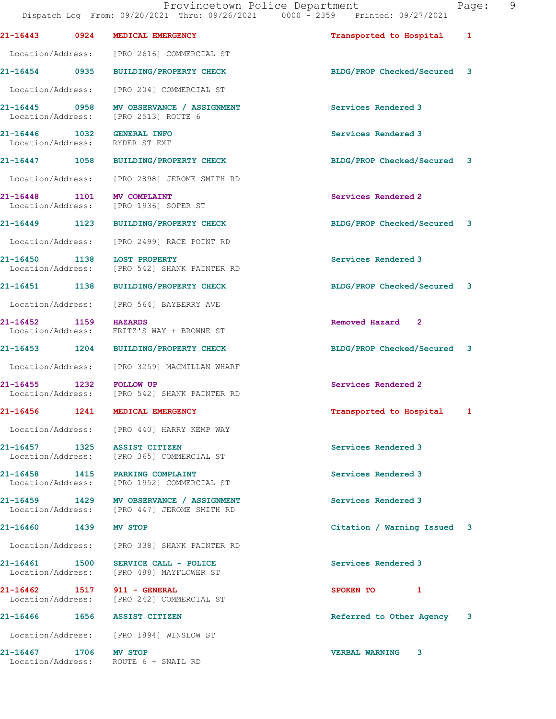|                                            |      | Dispatch Log From: 09/20/2021 Thru: 09/26/2021 0000 - 2359 Printed: 09/27/2021          | Provincetown Police Department | Pac |
|--------------------------------------------|------|-----------------------------------------------------------------------------------------|--------------------------------|-----|
|                                            |      | 21-16443 0924 MEDICAL EMERGENCY                                                         | Transported to Hospital 1      |     |
|                                            |      | Location/Address: [PRO 2616] COMMERCIAL ST                                              |                                |     |
|                                            |      | 21-16454 0935 BUILDING/PROPERTY CHECK                                                   | BLDG/PROP Checked/Secured 3    |     |
| Location/Address:                          |      | [PRO 204] COMMERCIAL ST                                                                 |                                |     |
|                                            |      | 21-16445 0958 MV OBSERVANCE / ASSIGNMENT<br>Location/Address: [PRO 2513] ROUTE 6        | Services Rendered 3            |     |
|                                            |      | 21-16446   1032   GENERAL INFO<br>Location/Address: RYDER ST EXT                        | Services Rendered 3            |     |
|                                            |      | 21-16447 1058 BUILDING/PROPERTY CHECK                                                   | BLDG/PROP Checked/Secured 3    |     |
|                                            |      | Location/Address: [PRO 2898] JEROME SMITH RD                                            |                                |     |
|                                            |      | 21-16448 1101 MV COMPLAINT<br>Location/Address: [PRO 1936] SOPER ST                     | Services Rendered 2            |     |
|                                            |      | 21-16449 1123 BUILDING/PROPERTY CHECK                                                   | BLDG/PROP Checked/Secured 3    |     |
|                                            |      | Location/Address: [PRO 2499] RACE POINT RD                                              |                                |     |
| 21-16450<br>Location/Address:              | 1138 | <b>LOST PROPERTY</b><br>[PRO 542] SHANK PAINTER RD                                      | Services Rendered 3            |     |
|                                            |      | 21-16451 1138 BUILDING/PROPERTY CHECK                                                   | BLDG/PROP Checked/Secured 3    |     |
|                                            |      | Location/Address: [PRO 564] BAYBERRY AVE                                                |                                |     |
| 21-16452 1159 HAZARDS<br>Location/Address: |      | FRITZ'S WAY + BROWNE ST                                                                 | Removed Hazard 2               |     |
|                                            |      | 21-16453 1204 BUILDING/PROPERTY CHECK                                                   | BLDG/PROP Checked/Secured 3    |     |
|                                            |      | Location/Address: [PRO 3259] MACMILLAN WHARF                                            |                                |     |
| 21-16455 1232 FOLLOW UP                    |      | Location/Address: [PRO 542] SHANK PAINTER RD                                            | Services Rendered 2            |     |
| 21-16456 1241                              |      | MEDICAL EMERGENCY                                                                       | Transported to Hospital 1      |     |
|                                            |      | Location/Address: [PRO 440] HARRY KEMP WAY                                              |                                |     |
|                                            |      | 21-16457 1325 ASSIST CITIZEN<br>Location/Address: [PRO 365] COMMERCIAL ST               | Services Rendered 3            |     |
|                                            |      | 21-16458 1415 PARKING COMPLAINT<br>Location/Address: [PRO 1952] COMMERCIAL ST           | Services Rendered 3            |     |
|                                            |      | 21-16459 1429 MV OBSERVANCE / ASSIGNMENT<br>Location/Address: [PRO 447] JEROME SMITH RD | Services Rendered 3            |     |
| 21-16460 1439 MV STOP                      |      |                                                                                         | Citation / Warning Issued 3    |     |
|                                            |      | Location/Address: [PRO 338] SHANK PAINTER RD                                            |                                |     |
|                                            |      | $21-16461$ 1500 SERVICE CALL - POLICE<br>Location/Address: [PRO 488] MAYFLOWER ST       | Services Rendered 3            |     |
|                                            |      | 21-16462 1517 911 - GENERAL<br>Location/Address: [PRO 242] COMMERCIAL ST                | SPOKEN TO 1                    |     |
|                                            |      | 21-16466 1656 ASSIST CITIZEN                                                            | Referred to Other Agency 3     |     |
|                                            |      | Location/Address: [PRO 1894] WINSLOW ST                                                 |                                |     |
| 21-16467 1706 MV STOP                      |      | Location/Address: ROUTE 6 + SNAIL RD                                                    | <b>VERBAL WARNING</b><br>3     |     |
|                                            |      |                                                                                         |                                |     |

age: 9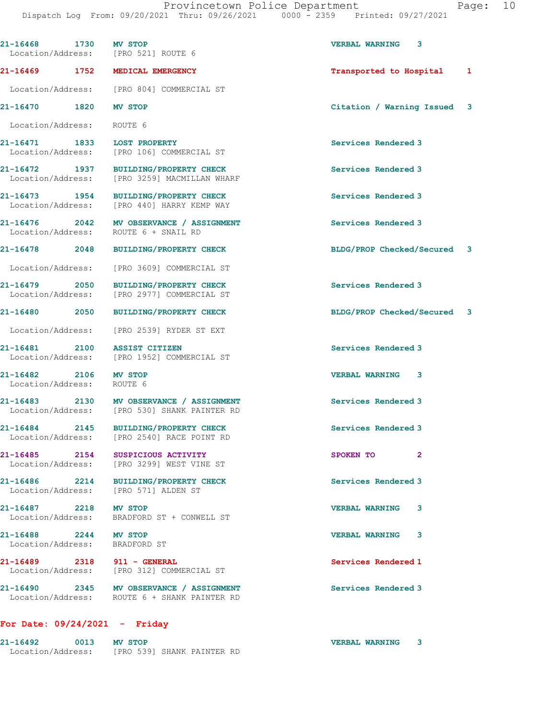Provincetown Police Department Fage: 10

Dispatch Log From: 09/20/2021 Thru: 09/26/2021 0000 - 2359 Printed: 09/27/2021

| 21-16468 1730 MV STOP                                  | Location/Address: [PRO 521] ROUTE 6                                                      | <b>VERBAL WARNING</b><br>3  |
|--------------------------------------------------------|------------------------------------------------------------------------------------------|-----------------------------|
|                                                        | 21-16469 1752 MEDICAL EMERGENCY                                                          | Transported to Hospital 1   |
|                                                        | Location/Address: [PRO 804] COMMERCIAL ST                                                |                             |
| 21-16470 1820 MV STOP                                  |                                                                                          | Citation / Warning Issued 3 |
| Location/Address: ROUTE 6                              |                                                                                          |                             |
| 21-16471 1833 LOST PROPERTY                            | Location/Address: [PRO 106] COMMERCIAL ST                                                | Services Rendered 3         |
|                                                        | 21-16472 1937 BUILDING/PROPERTY CHECK<br>Location/Address: [PRO 3259] MACMILLAN WHARF    | Services Rendered 3         |
|                                                        | 21-16473 1954 BUILDING/PROPERTY CHECK<br>Location/Address: [PRO 440] HARRY KEMP WAY      | Services Rendered 3         |
|                                                        | 21-16476 2042 MV OBSERVANCE / ASSIGNMENT<br>Location/Address: ROUTE 6 + SNAIL RD         | Services Rendered 3         |
|                                                        | 21-16478 2048 BUILDING/PROPERTY CHECK                                                    | BLDG/PROP Checked/Secured 3 |
|                                                        | Location/Address: [PRO 3609] COMMERCIAL ST                                               |                             |
|                                                        | 21-16479 2050 BUILDING/PROPERTY CHECK<br>Location/Address: [PRO 2977] COMMERCIAL ST      | Services Rendered 3         |
|                                                        | 21-16480 2050 BUILDING/PROPERTY CHECK                                                    | BLDG/PROP Checked/Secured 3 |
|                                                        | Location/Address: [PRO 2539] RYDER ST EXT                                                |                             |
| 21-16481 2100 ASSIST CITIZEN                           | Location/Address: [PRO 1952] COMMERCIAL ST                                               | Services Rendered 3         |
| 21-16482 2106 MV STOP<br>Location/Address: ROUTE 6     |                                                                                          | <b>VERBAL WARNING 3</b>     |
|                                                        | 21-16483 2130 MV OBSERVANCE / ASSIGNMENT<br>Location/Address: [PRO 530] SHANK PAINTER RD | Services Rendered 3         |
|                                                        | 21-16484 2145 BUILDING/PROPERTY CHECK<br>Location/Address: [PRO 2540] RACE POINT RD      | Services Rendered 3         |
|                                                        | 21-16485 2154 SUSPICIOUS ACTIVITY<br>Location/Address: [PRO 3299] WEST VINE ST           | SPOKEN TO<br>$\mathbf{2}$   |
|                                                        | 21-16486 2214 BUILDING/PROPERTY CHECK<br>Location/Address: [PRO 571] ALDEN ST            | Services Rendered 3         |
| 21-16487 2218 MV STOP                                  | Location/Address: BRADFORD ST + CONWELL ST                                               | <b>VERBAL WARNING</b><br>3  |
| 21-16488 2244 MV STOP<br>Location/Address: BRADFORD ST |                                                                                          | <b>VERBAL WARNING</b><br>3  |
| 21-16489 2318 911 - GENERAL                            | Location/Address: [PRO 312] COMMERCIAL ST                                                | Services Rendered 1         |
|                                                        | 21-16490 2345 MV OBSERVANCE / ASSIGNMENT<br>Location/Address: ROUTE 6 + SHANK PAINTER RD | Services Rendered 3         |
| For Date: $09/24/2021$ - Friday                        |                                                                                          |                             |

21-16492 0013 MV STOP VERBAL WARNING 3

Location/Address: [PRO 539] SHANK PAINTER RD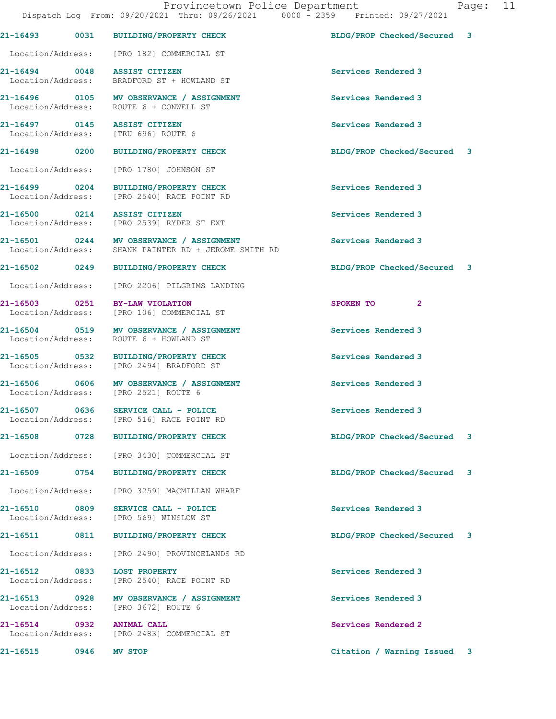|                   |                     | 21-16493 0031 BUILDING/PROPERTY CHECK                                                            | BLDG/PROP Checked/Secured 3 |   |
|-------------------|---------------------|--------------------------------------------------------------------------------------------------|-----------------------------|---|
|                   |                     | Location/Address: [PRO 182] COMMERCIAL ST                                                        |                             |   |
|                   |                     | 21-16494 0048 ASSIST CITIZEN<br>Location/Address: BRADFORD ST + HOWLAND ST                       | Services Rendered 3         |   |
|                   |                     | 21-16496 0105 MV OBSERVANCE / ASSIGNMENT<br>Location/Address: ROUTE 6 + CONWELL ST               | Services Rendered 3         |   |
|                   |                     | 21-16497 0145 ASSIST CITIZEN<br>Location/Address: [TRU 696] ROUTE 6                              | Services Rendered 3         |   |
|                   |                     | 21-16498 0200 BUILDING/PROPERTY CHECK                                                            | BLDG/PROP Checked/Secured 3 |   |
|                   |                     | Location/Address: [PRO 1780] JOHNSON ST                                                          |                             |   |
|                   |                     | 21-16499 0204 BUILDING/PROPERTY CHECK<br>Location/Address: [PRO 2540] RACE POINT RD              | Services Rendered 3         |   |
| 21-16500 0214     |                     | <b>ASSIST CITIZEN</b><br>Location/Address: [PRO 2539] RYDER ST EXT                               | Services Rendered 3         |   |
|                   |                     | 21-16501 0244 MV OBSERVANCE / ASSIGNMENT<br>Location/Address: SHANK PAINTER RD + JEROME SMITH RD | Services Rendered 3         |   |
|                   |                     | 21-16502 0249 BUILDING/PROPERTY CHECK                                                            | BLDG/PROP Checked/Secured 3 |   |
|                   |                     | Location/Address: [PRO 2206] PILGRIMS LANDING                                                    |                             |   |
|                   |                     | 21-16503 0251 BY-LAW VIOLATION<br>Location/Address: [PRO 106] COMMERCIAL ST                      | SPOKEN TO 2                 |   |
|                   |                     | 21-16504 0519 MV OBSERVANCE / ASSIGNMENT<br>Location/Address: ROUTE 6 + HOWLAND ST               | Services Rendered 3         |   |
| 21-16505 0532     |                     | BUILDING/PROPERTY CHECK<br>Location/Address: [PRO 2494] BRADFORD ST                              | Services Rendered 3         |   |
|                   |                     | 21-16506 0606 MV OBSERVANCE / ASSIGNMENT<br>Location/Address: [PRO 2521] ROUTE 6                 | Services Rendered 3         |   |
|                   |                     | 21-16507 0636 SERVICE CALL - POLICE<br>Location/Address: [PRO 516] RACE POINT RD                 | Services Rendered 3         |   |
|                   |                     | 21-16508 0728 BUILDING/PROPERTY CHECK                                                            | BLDG/PROP Checked/Secured   | 3 |
|                   |                     | Location/Address: [PRO 3430] COMMERCIAL ST                                                       |                             |   |
| 21-16509          | $\overline{0754}$   | <b>BUILDING/PROPERTY CHECK</b>                                                                   | BLDG/PROP Checked/Secured 3 |   |
| Location/Address: |                     | [PRO 3259] MACMILLAN WHARF                                                                       |                             |   |
| 21-16510 0809     |                     | SERVICE CALL - POLICE<br>Location/Address: [PRO 569] WINSLOW ST                                  | Services Rendered 3         |   |
| 21-16511          | 0811                | BUILDING/PROPERTY CHECK                                                                          | BLDG/PROP Checked/Secured 3 |   |
|                   |                     | Location/Address: [PRO 2490] PROVINCELANDS RD                                                    |                             |   |
| 21-16512 0833     |                     | <b>LOST PROPERTY</b><br>Location/Address: [PRO 2540] RACE POINT RD                               | Services Rendered 3         |   |
|                   |                     | 21-16513 0928 MV OBSERVANCE / ASSIGNMENT<br>Location/Address: [PRO 3672] ROUTE 6                 | Services Rendered 3         |   |
| 21-16514 0932     |                     | <b>ANIMAL CALL</b><br>Location/Address: [PRO 2483] COMMERCIAL ST                                 | Services Rendered 2         |   |
| 21-16515          | $\overline{0}$ 0946 | MV STOP                                                                                          | Citation / Warning Issued   | 3 |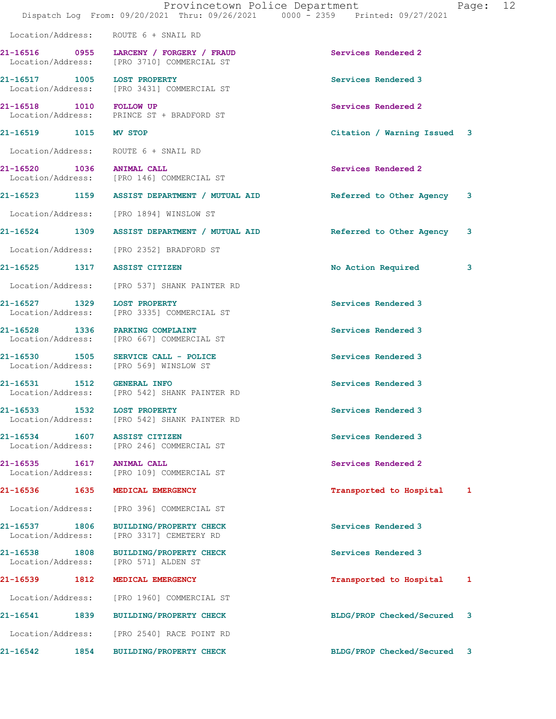|                                                   | Provincetown Police Department<br>Dispatch Log From: 09/20/2021 Thru: 09/26/2021 0000 - 2359 Printed: 09/27/2021 |                             | Page: 12 |  |
|---------------------------------------------------|------------------------------------------------------------------------------------------------------------------|-----------------------------|----------|--|
| Location/Address: ROUTE 6 + SNAIL RD              |                                                                                                                  |                             |          |  |
|                                                   | 21-16516 0955 LARCENY / FORGERY / FRAUD<br>Location/Address: [PRO 3710] COMMERCIAL ST                            | Services Rendered 2         |          |  |
| 21-16517 1005 LOST PROPERTY                       | Location/Address: [PRO 3431] COMMERCIAL ST                                                                       | Services Rendered 3         |          |  |
| 21-16518 1010 FOLLOW UP                           | Location/Address: PRINCE ST + BRADFORD ST                                                                        | Services Rendered 2         |          |  |
| 21-16519 1015 MV STOP                             |                                                                                                                  | Citation / Warning Issued 3 |          |  |
| Location/Address: ROUTE 6 + SNAIL RD              |                                                                                                                  |                             |          |  |
| 21-16520 1036 ANIMAL CALL                         | Location/Address: [PRO 146] COMMERCIAL ST                                                                        | Services Rendered 2         |          |  |
|                                                   | 21-16523 1159 ASSIST DEPARTMENT / MUTUAL AID                                                                     | Referred to Other Agency 3  |          |  |
|                                                   | Location/Address: [PRO 1894] WINSLOW ST                                                                          |                             |          |  |
|                                                   | 21-16524 1309 ASSIST DEPARTMENT / MUTUAL AID                                                                     | Referred to Other Agency    | 3        |  |
|                                                   | Location/Address: [PRO 2352] BRADFORD ST                                                                         |                             |          |  |
| 21-16525 1317 ASSIST CITIZEN                      |                                                                                                                  | No Action Required          | 3        |  |
|                                                   | Location/Address: [PRO 537] SHANK PAINTER RD                                                                     |                             |          |  |
|                                                   | 21-16527 1329 LOST PROPERTY<br>Location/Address: [PRO 3335] COMMERCIAL ST                                        | Services Rendered 3         |          |  |
| 21-16528 1336 PARKING COMPLAINT                   | Location/Address: [PRO 667] COMMERCIAL ST                                                                        | Services Rendered 3         |          |  |
|                                                   | 21-16530 1505 SERVICE CALL - POLICE<br>Location/Address: [PRO 569] WINSLOW ST                                    | Services Rendered 3         |          |  |
| 21-16531 1512 GENERAL INFO                        | Location/Address: [PRO 542] SHANK PAINTER RD                                                                     | Services Rendered 3         |          |  |
| 21-16533<br>Location/Address:                     | 1532 LOST PROPERTY<br>[PRO 542] SHANK PAINTER RD                                                                 | Services Rendered 3         |          |  |
| 21-16534 1607 ASSIST CITIZEN<br>Location/Address: | [PRO 246] COMMERCIAL ST                                                                                          | Services Rendered 3         |          |  |
| 21-16535 1617                                     | <b>ANIMAL CALL</b><br>Location/Address: [PRO 109] COMMERCIAL ST                                                  | Services Rendered 2         |          |  |
| 21-16536 1635                                     | MEDICAL EMERGENCY                                                                                                | Transported to Hospital 1   |          |  |
| Location/Address:                                 | [PRO 396] COMMERCIAL ST                                                                                          |                             |          |  |
| 21-16537 1806<br>Location/Address:                | <b>BUILDING/PROPERTY CHECK</b><br>[PRO 3317] CEMETERY RD                                                         | Services Rendered 3         |          |  |
| 21-16538 1808<br>Location/Address:                | <b>BUILDING/PROPERTY CHECK</b><br>[PRO 571] ALDEN ST                                                             | Services Rendered 3         |          |  |
| 21-16539 1812                                     | MEDICAL EMERGENCY                                                                                                | Transported to Hospital     | 1        |  |
| Location/Address:                                 | [PRO 1960] COMMERCIAL ST                                                                                         |                             |          |  |
| 21-16541 1839                                     | BUILDING/PROPERTY CHECK                                                                                          | BLDG/PROP Checked/Secured   | 3        |  |
| Location/Address:                                 | [PRO 2540] RACE POINT RD                                                                                         |                             |          |  |
| 1854<br>21-16542                                  | BUILDING/PROPERTY CHECK                                                                                          | BLDG/PROP Checked/Secured 3 |          |  |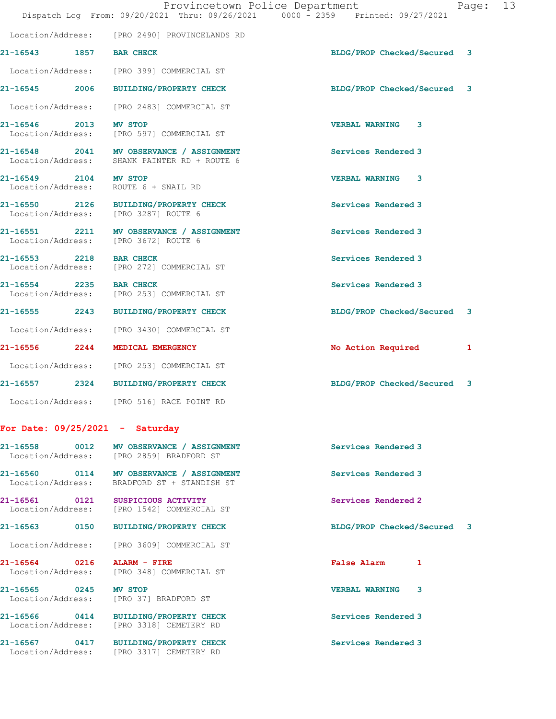|                         |                                                                                          | Provincetown Police Department<br>Dispatch Log From: 09/20/2021 Thru: 09/26/2021 0000 - 2359 Printed: 09/27/2021 | Page: 13 |  |
|-------------------------|------------------------------------------------------------------------------------------|------------------------------------------------------------------------------------------------------------------|----------|--|
|                         | Location/Address: [PRO 2490] PROVINCELANDS RD                                            |                                                                                                                  |          |  |
| 21-16543 1857 BAR CHECK |                                                                                          | BLDG/PROP Checked/Secured 3                                                                                      |          |  |
|                         | Location/Address: [PRO 399] COMMERCIAL ST                                                |                                                                                                                  |          |  |
|                         | 21-16545 2006 BUILDING/PROPERTY CHECK                                                    | BLDG/PROP Checked/Secured 3                                                                                      |          |  |
|                         | Location/Address: [PRO 2483] COMMERCIAL ST                                               |                                                                                                                  |          |  |
| 21-16546 2013 MV STOP   | Location/Address: [PRO 597] COMMERCIAL ST                                                | VERBAL WARNING 3                                                                                                 |          |  |
|                         | 21-16548 2041 MV OBSERVANCE / ASSIGNMENT<br>Location/Address: SHANK PAINTER RD + ROUTE 6 | Services Rendered 3                                                                                              |          |  |
| 21-16549 2104 MV STOP   | Location/Address: ROUTE 6 + SNAIL RD                                                     | VERBAL WARNING 3                                                                                                 |          |  |
|                         | 21-16550 2126 BUILDING/PROPERTY CHECK<br>Location/Address: [PRO 3287] ROUTE 6            | Services Rendered 3                                                                                              |          |  |
|                         | 21-16551 2211 MV OBSERVANCE / ASSIGNMENT<br>Location/Address: [PRO 3672] ROUTE 6         | Services Rendered 3                                                                                              |          |  |
| 21-16553 2218 BAR CHECK | Location/Address: [PRO 272] COMMERCIAL ST                                                | Services Rendered 3                                                                                              |          |  |
| 21-16554 2235 BAR CHECK | Location/Address: [PRO 253] COMMERCIAL ST                                                | Services Rendered 3                                                                                              |          |  |
|                         | 21-16555 2243 BUILDING/PROPERTY CHECK                                                    | BLDG/PROP Checked/Secured 3                                                                                      |          |  |
|                         | Location/Address: [PRO 3430] COMMERCIAL ST                                               |                                                                                                                  |          |  |
|                         | 21-16556 2244 MEDICAL EMERGENCY                                                          | No Action Required                                                                                               | 1        |  |
|                         | Location/Address: [PRO 253] COMMERCIAL ST                                                |                                                                                                                  |          |  |
|                         | 21-16557 2324 BUILDING/PROPERTY CHECK                                                    | BLDG/PROP Checked/Secured 3                                                                                      |          |  |
|                         | Location/Address: [PRO 516] RACE POINT RD                                                |                                                                                                                  |          |  |
|                         | For Date: $09/25/2021$ - Saturday                                                        |                                                                                                                  |          |  |
| 21-16558                | 0012 MV OBSERVANCE / ASSIGNMENT<br>Location/Address: [PRO 2859] BRADFORD ST              | Services Rendered 3                                                                                              |          |  |

21-16560 0114 MV OBSERVANCE / ASSIGNMENT Services Rendered 3 Location/Address: BRADFORD ST + STANDISH ST

21-16561 0121 SUSPICIOUS ACTIVITY Services Rendered 2 Location/Address: [PRO 1542] COMMERCIAL ST

Location/Address: [PRO 3609] COMMERCIAL ST

21-16564 0216 ALARM - FIRE False Alarm 1 Location/Address: [PRO 348] COMMERCIAL ST

21-16565 0245 MV STOP 2008 21-16565 0245 MW STOP Location/Address: [PRO 37] BRADFORD ST

21-16566 0414 BUILDING/PROPERTY CHECK Services Rendered 3 Location/Address: [PRO 3318] CEMETERY RD

21-16567 0417 BUILDING/PROPERTY CHECK Services Rendered 3 Location/Address: [PRO 3317] CEMETERY RD

21-16563 0150 BUILDING/PROPERTY CHECK BLDG/PROP Checked/Secured 3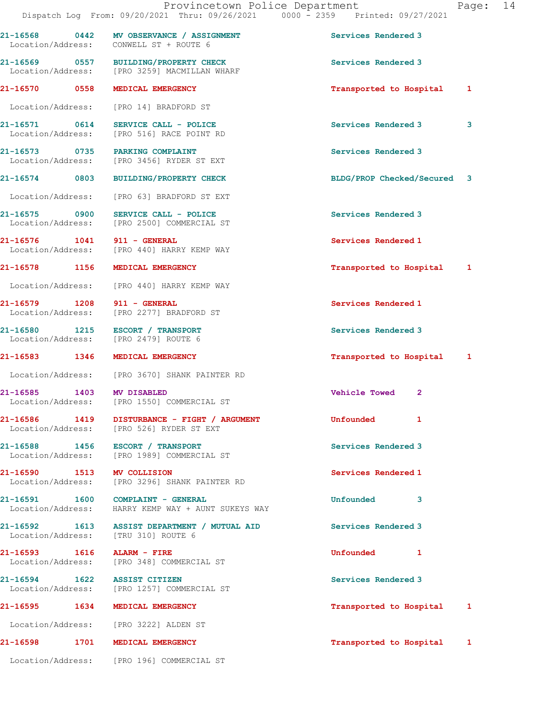| aae |  |
|-----|--|
|-----|--|

21-16568 0442 MV OBSERVANCE / ASSIGNMENT Services Rendered 3 Location/Address: CONWELL ST + ROUTE 6 21-16569 0557 BUILDING/PROPERTY CHECK Services Rendered 3 Location/Address: [PRO 3259] MACMILLAN WHARF 21-16570 0558 MEDICAL EMERGENCY Transported to Hospital 1 Location/Address: [PRO 14] BRADFORD ST 21-16571 0614 SERVICE CALL - POLICE Services Rendered 3 3 [PRO 516] RACE POINT RD 21-16573 0735 PARKING COMPLAINT Services Rendered 3 Location/Address: [PRO 3456] RYDER ST EXT 21-16574 0803 BUILDING/PROPERTY CHECK BLDG/PROP Checked/Secured 3 Location/Address: [PRO 63] BRADFORD ST EXT 21-16575 0900 SERVICE CALL - POLICE Services Rendered 3 Location/Address: [PRO 2500] COMMERCIAL ST 21-16576 1041 911 - GENERAL Services Rendered 1 Location/Address: [PRO 440] HARRY KEMP WAY 21-16578 1156 MEDICAL EMERGENCY Transported to Hospital 1 Location/Address: [PRO 440] HARRY KEMP WAY 21-16579 1208 911 - GENERAL Services Rendered 1 Location/Address: [PRO 2277] BRADFORD ST 21-16580 1215 ESCORT / TRANSPORT Services Rendered 3 Location/Address: [PRO 2479] ROUTE 6 21-16583 1346 MEDICAL EMERGENCY 1 21-16583 120-16583 1346 1 Location/Address: [PRO 3670] SHANK PAINTER RD 21-16585 1403 MV DISABLED Vehicle Towed 2 Location/Address: [PRO 1550] COMMERCIAL ST 21-16586 1419 DISTURBANCE - FIGHT / ARGUMENT Unfounded 1 Location/Address: [PRO 526] RYDER ST EXT 21-16588 1456 ESCORT / TRANSPORT Services Rendered 3 Location/Address: [PRO 1989] COMMERCIAL ST 21-16590 1513 MV COLLISION Services Rendered 1 Location/Address: [PRO 3296] SHANK PAINTER RD 21-16591 1600 COMPLAINT - GENERAL 21-16591 Unfounded 3 Location/Address: HARRY KEMP WAY + AUNT SUKEYS WAY 21-16592 1613 ASSIST DEPARTMENT / MUTUAL AID Services Rendered 3 Location/Address: [TRU 310] ROUTE 6 21-16593 1616 ALARM - FIRE Unfounded 1 Location/Address: [PRO 348] COMMERCIAL ST 21-16594 1622 ASSIST CITIZEN Services Rendered 3 Location/Address: [PRO 1257] COMMERCIAL ST 21-16595 1634 MEDICAL EMERGENCY Transported to Hospital 1 Location/Address: [PRO 3222] ALDEN ST 21-16598 1701 MEDICAL EMERGENCY Transported to Hospital 1

Location/Address: [PRO 196] COMMERCIAL ST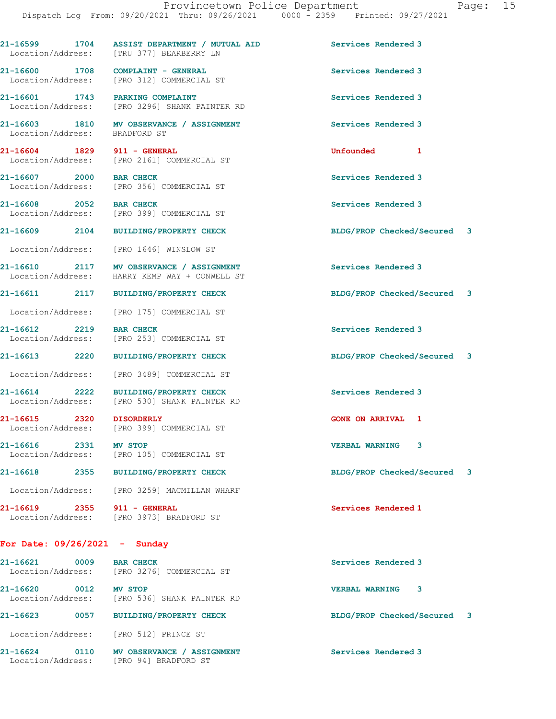21-16599 1704 ASSIST DEPARTMENT / MUTUAL AID Services Rendered 3 Location/Address: [TRU 377] BEARBERRY LN 21-16600 1708 COMPLAINT - GENERAL **1208** Services Rendered 3 Location/Address: [PRO 312] COMMERCIAL ST 21-16601 1743 PARKING COMPLAINT Services Rendered 3 Location/Address: [PRO 3296] SHANK PAINTER RD 21-16603 1810 MV OBSERVANCE / ASSIGNMENT Services Rendered 3<br>
Location/Address: BRADFORD ST Location/Address: 21-16604 1829 911 - GENERAL Unfounded 1 Location/Address: [PRO 2161] COMMERCIAL ST 21-16607 2000 BAR CHECK Services Rendered 3 Location/Address: [PRO 356] COMMERCIAL ST 21-16608 2052 BAR CHECK Services Rendered 3<br>
Location/Address: [PRO 399] COMMERCIAL ST [PRO 399] COMMERCIAL ST 21-16609 2104 BUILDING/PROPERTY CHECK BLDG/PROP Checked/Secured 3 Location/Address: [PRO 1646] WINSLOW ST 21-16610 2117 MV OBSERVANCE / ASSIGNMENT Services Rendered 3 Location/Address: HARRY KEMP WAY + CONWELL ST 21-16611 2117 BUILDING/PROPERTY CHECK BLDG/PROP Checked/Secured 3 Location/Address: [PRO 175] COMMERCIAL ST 21-16612 2219 BAR CHECK Services Rendered 3<br>
Location/Address: [PRO 253] COMMERCIAL ST [PRO 253] COMMERCIAL ST 21-16613 2220 BUILDING/PROPERTY CHECK BLDG/PROP Checked/Secured 3 Location/Address: [PRO 3489] COMMERCIAL ST 21-16614 2222 BUILDING/PROPERTY CHECK Services Rendered 3<br>
Location/Address: [PRO 530] SHANK PAINTER RD [PRO 530] SHANK PAINTER RD 21-16615 2320 DISORDERLY GONE ON ARRIVAL 1 Location/Address: [PRO 399] COMMERCIAL ST 21-16616 2331 MV STOP VERBAL WARNING 3 Location/Address: [PRO 105] COMMERCIAL ST 21-16618 2355 BUILDING/PROPERTY CHECK BLDG/PROP Checked/Secured 3 Location/Address: [PRO 3259] MACMILLAN WHARF 21-16619 2355 911 - GENERAL Services Rendered 1 Location/Address: [PRO 3973] BRADFORD ST For Date: 09/26/2021 - Sunday 21-16621 0009 BAR CHECK Services Rendered 3 Location/Address: [PRO 3276] COMMERCIAL ST 21-16620 0012 MV STOP 21-16620 VERBAL WARNING 3<br>
Location/Address: [PRO 536] SHANK PAINTER RD [PRO 536] SHANK PAINTER RD

21-16623 0057 BUILDING/PROPERTY CHECK BLDG/PROP Checked/Secured 3

Location/Address: [PRO 512] PRINCE ST

21-16624 0110 MV OBSERVANCE / ASSIGNMENT Services Rendered 3 Location/Address: [PRO 94] BRADFORD ST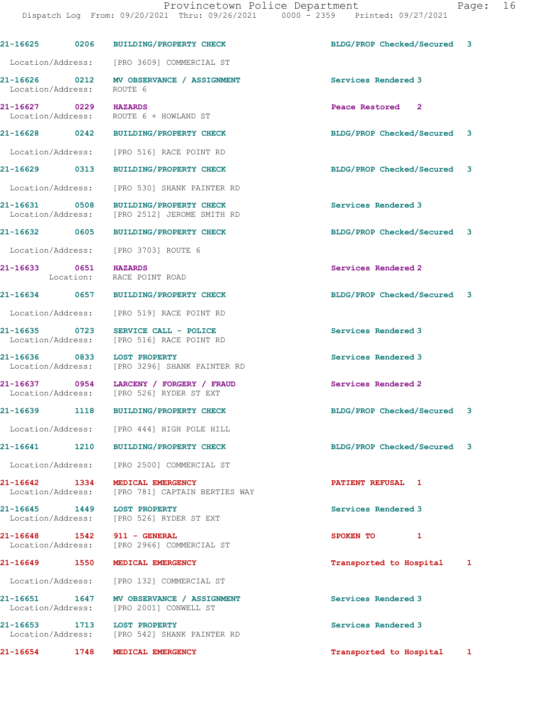|                                    |           | 21-16625 0206 BUILDING/PROPERTY CHECK                                         | BLDG/PROP Checked/Secured 3 |              |
|------------------------------------|-----------|-------------------------------------------------------------------------------|-----------------------------|--------------|
|                                    |           | Location/Address: [PRO 3609] COMMERCIAL ST                                    |                             |              |
| 21-16626 0212<br>Location/Address: |           | MV OBSERVANCE / ASSIGNMENT<br>ROUTE 6                                         | Services Rendered 3         |              |
| 21-16627 0229<br>Location/Address: |           | <b>HAZARDS</b><br>ROUTE 6 + HOWLAND ST                                        | Peace Restored 2            |              |
| 21-16628 0242                      |           | <b>BUILDING/PROPERTY CHECK</b>                                                | BLDG/PROP Checked/Secured 3 |              |
| Location/Address:                  |           | [PRO 516] RACE POINT RD                                                       |                             |              |
| 21-16629 0313                      |           | <b>BUILDING/PROPERTY CHECK</b>                                                | BLDG/PROP Checked/Secured 3 |              |
| Location/Address:                  |           | [PRO 530] SHANK PAINTER RD                                                    |                             |              |
| 21-16631 0508<br>Location/Address: |           | <b>BUILDING/PROPERTY CHECK</b><br>[PRO 2512] JEROME SMITH RD                  | Services Rendered 3         |              |
| 21-16632 0605                      |           | <b>BUILDING/PROPERTY CHECK</b>                                                | BLDG/PROP Checked/Secured 3 |              |
|                                    |           | Location/Address: [PRO 3703] ROUTE 6                                          |                             |              |
| 21-16633 0651                      | Location: | <b>HAZARDS</b><br>RACE POINT ROAD                                             | Services Rendered 2         |              |
| 21-16634 0657                      |           | <b>BUILDING/PROPERTY CHECK</b>                                                | BLDG/PROP Checked/Secured 3 |              |
| Location/Address:                  |           | [PRO 519] RACE POINT RD                                                       |                             |              |
| 21-16635 0723<br>Location/Address: |           | SERVICE CALL - POLICE<br>[PRO 516] RACE POINT RD                              | Services Rendered 3         |              |
| 21-16636 0833<br>Location/Address: |           | <b>LOST PROPERTY</b><br>[PRO 3296] SHANK PAINTER RD                           | Services Rendered 3         |              |
| 21-16637 0954<br>Location/Address: |           | LARCENY / FORGERY / FRAUD<br>[PRO 526] RYDER ST EXT                           | Services Rendered 2         |              |
|                                    |           | 21-16639 1118 BUILDING/PROPERTY CHECK                                         | BLDG/PROP Checked/Secured 3 |              |
|                                    |           | Location/Address: [PRO 444] HIGH POLE HILL                                    |                             |              |
| $21 - 16641$                       | 1210      | <b>BUILDING/PROPERTY CHECK</b>                                                | BLDG/PROP Checked/Secured 3 |              |
| Location/Address:                  |           | [PRO 2500] COMMERCIAL ST                                                      |                             |              |
| 21-16642 1334<br>Location/Address: |           | MEDICAL EMERGENCY<br>[PRO 781] CAPTAIN BERTIES WAY                            | PATIENT REFUSAL 1           |              |
| 21-16645 1449<br>Location/Address: |           | <b>LOST PROPERTY</b><br>[PRO 526] RYDER ST EXT                                | Services Rendered 3         |              |
|                                    |           | 21-16648   1542   911 - GENERAL<br>Location/Address: [PRO 2966] COMMERCIAL ST | SPOKEN TO<br>$\mathbf{1}$   |              |
| 21-16649 1550                      |           | MEDICAL EMERGENCY                                                             | Transported to Hospital     | 1            |
| Location/Address:                  |           | [PRO 132] COMMERCIAL ST                                                       |                             |              |
| 21-16651 1647<br>Location/Address: |           | MV OBSERVANCE / ASSIGNMENT<br>[PRO 2001] CONWELL ST                           | Services Rendered 3         |              |
| 21-16653 1713                      |           | <b>LOST PROPERTY</b><br>Location/Address: [PRO 542] SHANK PAINTER RD          | Services Rendered 3         |              |
| 21-16654                           | 1748      | MEDICAL EMERGENCY                                                             | Transported to Hospital     | $\mathbf{1}$ |